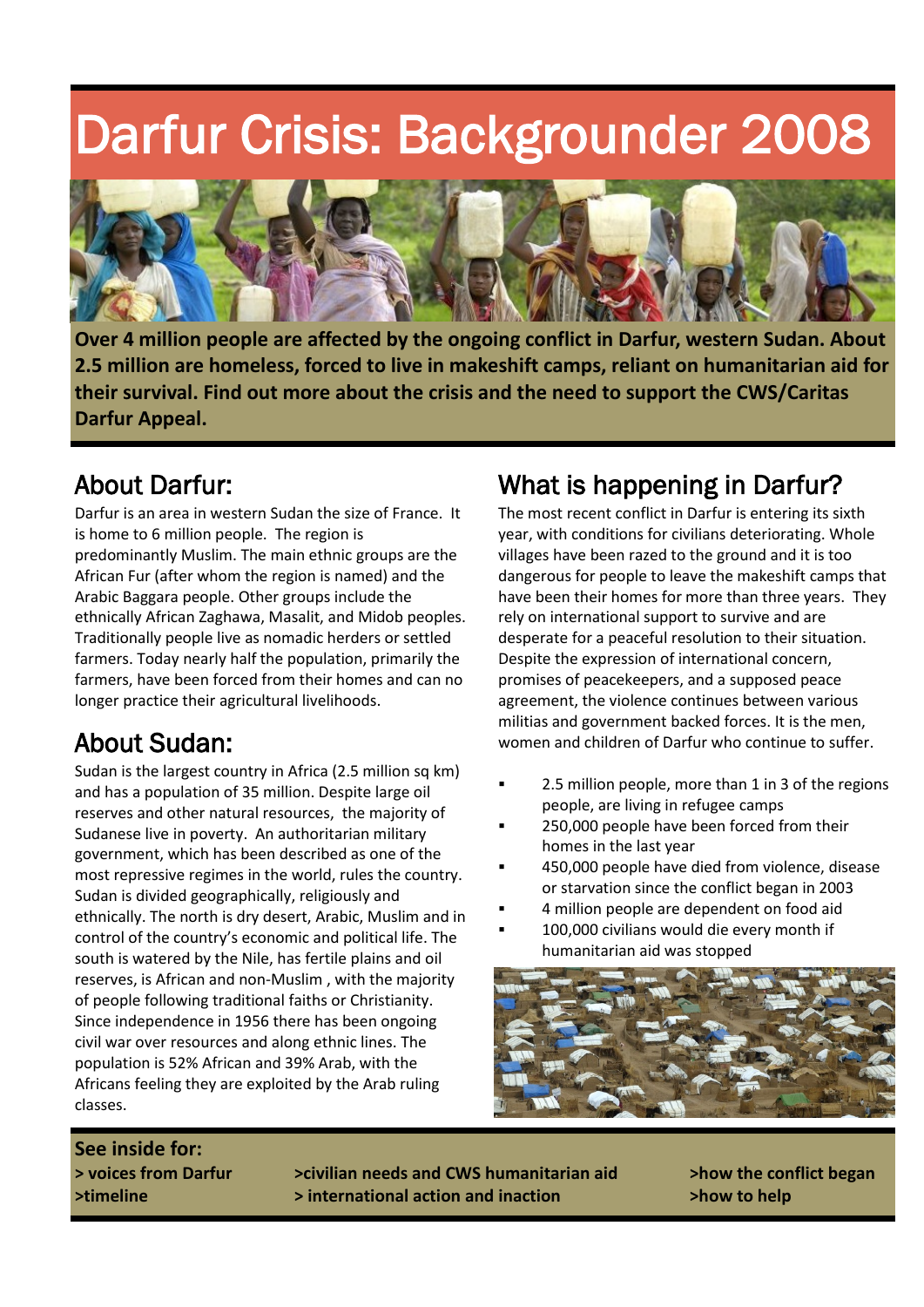## Darfur Crisis: Backgrounder 2008



**Over 4 million people are affected by the ongoing conflict in Darfur, western Sudan. About 2.5 million are homeless, forced to live in makeshift camps, reliant on humanitarian aid for their survival. Find out more about the crisis and the need to support the CWS/Caritas Darfur Appeal.** 

## About Darfur:

Darfur is an area in western Sudan the size of France. It is home to 6 million people. The region is predominantly Muslim. The main ethnic groups are the African Fur (after whom the region is named) and the Arabic Baggara people. Other groups include the ethnically African Zaghawa, Masalit, and Midob peoples. Traditionally people live as nomadic herders or settled farmers. Today nearly half the population, primarily the farmers, have been forced from their homes and can no longer practice their agricultural livelihoods.

## About Sudan:

Sudan is the largest country in Africa (2.5 million sq km) and has a population of 35 million. Despite large oil reserves and other natural resources, the majority of Sudanese live in poverty. An authoritarian military government, which has been described as one of the most repressive regimes in the world, rules the country. Sudan is divided geographically, religiously and ethnically. The north is dry desert, Arabic, Muslim and in control of the country's economic and political life. The south is watered by the Nile, has fertile plains and oil reserves, is African and non-Muslim , with the majority of people following traditional faiths or Christianity. Since independence in 1956 there has been ongoing civil war over resources and along ethnic lines. The population is 52% African and 39% Arab, with the Africans feeling they are exploited by the Arab ruling classes.

## What is happening in Darfur?

The most recent conflict in Darfur is entering its sixth year, with conditions for civilians deteriorating. Whole villages have been razed to the ground and it is too dangerous for people to leave the makeshift camps that have been their homes for more than three years. They rely on international support to survive and are desperate for a peaceful resolution to their situation. Despite the expression of international concern, promises of peacekeepers, and a supposed peace agreement, the violence continues between various militias and government backed forces. It is the men, women and children of Darfur who continue to suffer.

- 2.5 million people, more than 1 in 3 of the regions people, are living in refugee camps
- 250,000 people have been forced from their homes in the last year
- 450,000 people have died from violence, disease or starvation since the conflict began in 2003
- 4 million people are dependent on food aid
- 100,000 civilians would die every month if humanitarian aid was stopped



# **See inside for:**

**> voices from Darfur >civilian needs and CWS humanitarian aid >how the conflict began >timeline > international action and inaction >how to help**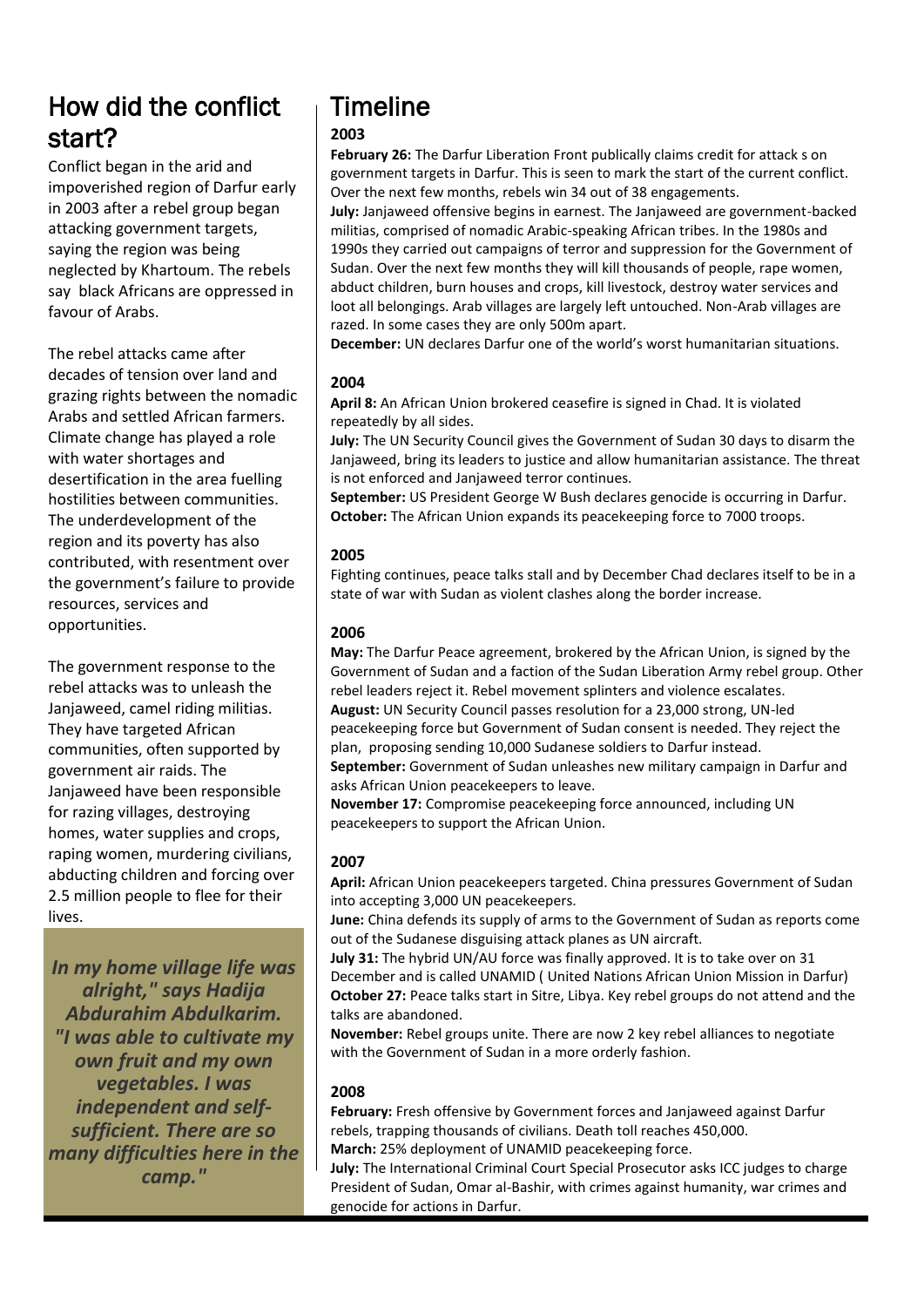## How did the conflict start?

Conflict began in the arid and impoverished region of Darfur early in 2003 after a rebel group began attacking government targets, saying the region was being neglected by Khartoum. The rebels say black Africans are oppressed in favour of Arabs.

The rebel attacks came after decades of tension over land and grazing rights between the nomadic Arabs and settled African farmers. Climate change has played a role with water shortages and desertification in the area fuelling hostilities between communities. The underdevelopment of the region and its poverty has also contributed, with resentment over the government's failure to provide resources, services and opportunities.

The government response to the rebel attacks was to unleash the Janjaweed, camel riding militias. They have targeted African communities, often supported by government air raids. The Janjaweed have been responsible for razing villages, destroying homes, water supplies and crops, raping women, murdering civilians, abducting children and forcing over 2.5 million people to flee for their lives.

*In my home village life was alright," says Hadija Abdurahim Abdulkarim. "I was able to cultivate my own fruit and my own vegetables. I was independent and selfsufficient. There are so many difficulties here in the camp."*

## Timeline

#### **2003**

**February 26:** The Darfur Liberation Front publically claims credit for attack s on government targets in Darfur. This is seen to mark the start of the current conflict. Over the next few months, rebels win 34 out of 38 engagements.

**July:** Janjaweed offensive begins in earnest. The Janjaweed are government-backed militias, comprised of nomadic Arabic-speaking African tribes. In the 1980s and 1990s they carried out campaigns of terror and suppression for the Government of Sudan. Over the next few months they will kill thousands of people, rape women, abduct children, burn houses and crops, kill livestock, destroy water services and loot all belongings. Arab villages are largely left untouched. Non-Arab villages are razed. In some cases they are only 500m apart.

**December:** UN declares Darfur one of the world's worst humanitarian situations.

#### **2004**

**April 8:** An African Union brokered ceasefire is signed in Chad. It is violated repeatedly by all sides.

**July:** The UN Security Council gives the Government of Sudan 30 days to disarm the Janjaweed, bring its leaders to justice and allow humanitarian assistance. The threat is not enforced and Janjaweed terror continues.

**September:** US President George W Bush declares genocide is occurring in Darfur. **October:** The African Union expands its peacekeeping force to 7000 troops.

#### **2005**

Fighting continues, peace talks stall and by December Chad declares itself to be in a state of war with Sudan as violent clashes along the border increase.

#### **2006**

**May:** The Darfur Peace agreement, brokered by the African Union, is signed by the Government of Sudan and a faction of the Sudan Liberation Army rebel group. Other rebel leaders reject it. Rebel movement splinters and violence escalates. **August:** UN Security Council passes resolution for a 23,000 strong, UN-led peacekeeping force but Government of Sudan consent is needed. They reject the plan, proposing sending 10,000 Sudanese soldiers to Darfur instead. **September:** Government of Sudan unleashes new military campaign in Darfur and asks African Union peacekeepers to leave.

**November 17:** Compromise peacekeeping force announced, including UN peacekeepers to support the African Union.

#### **2007**

**April:** African Union peacekeepers targeted. China pressures Government of Sudan into accepting 3,000 UN peacekeepers.

**June:** China defends its supply of arms to the Government of Sudan as reports come out of the Sudanese disguising attack planes as UN aircraft.

**July 31:** The hybrid UN/AU force was finally approved. It is to take over on 31 December and is called UNAMID ( United Nations African Union Mission in Darfur) **October 27:** Peace talks start in Sitre, Libya. Key rebel groups do not attend and the talks are abandoned.

**November:** Rebel groups unite. There are now 2 key rebel alliances to negotiate with the Government of Sudan in a more orderly fashion.

#### **2008**

**February:** Fresh offensive by Government forces and Janjaweed against Darfur rebels, trapping thousands of civilians. Death toll reaches 450,000. **March:** 25% deployment of UNAMID peacekeeping force.

**July:** The International Criminal Court Special Prosecutor asks ICC judges to charge President of Sudan, Omar al-Bashir, with crimes against humanity, war crimes and genocide for actions in Darfur.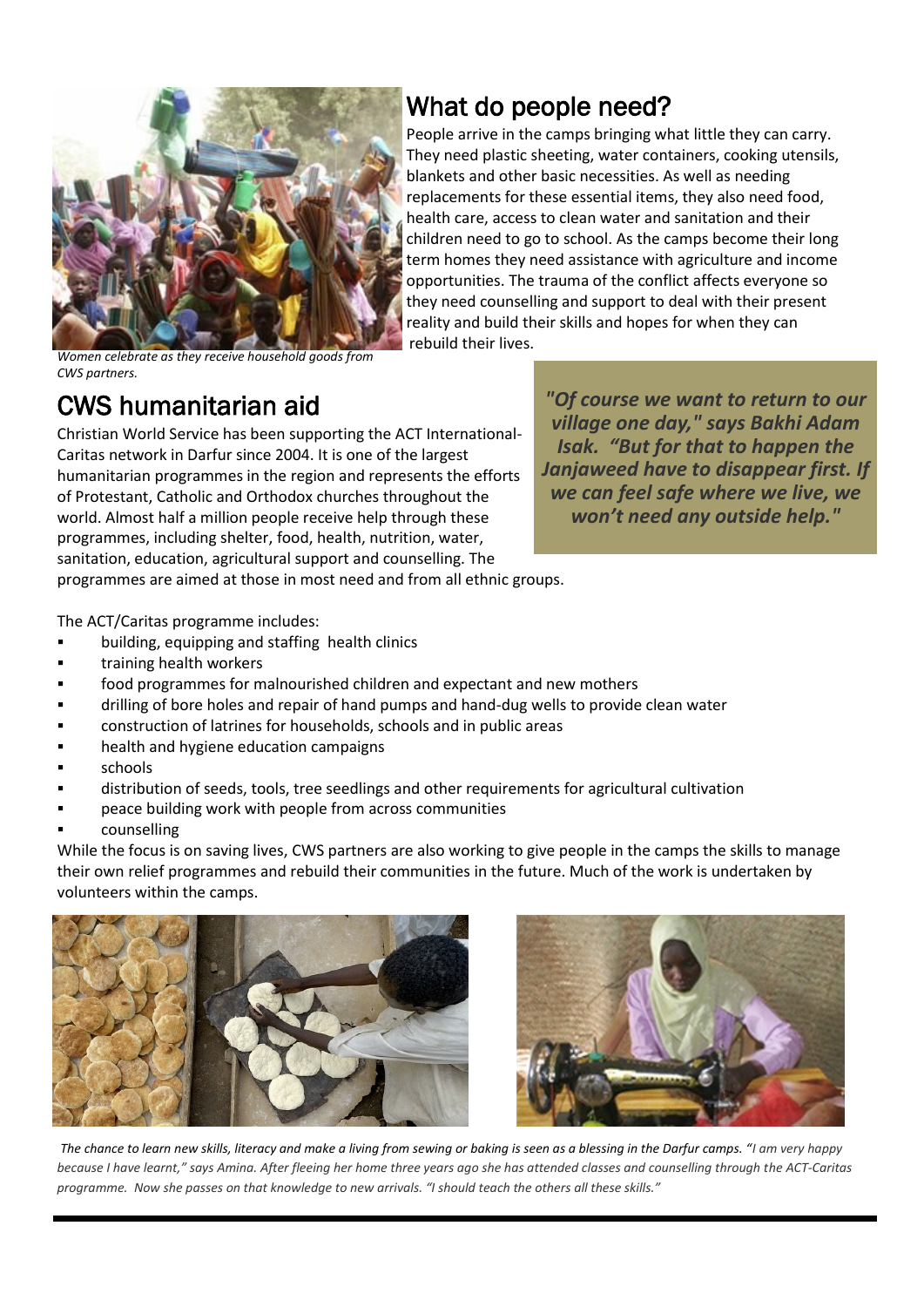

## What do people need?

People arrive in the camps bringing what little they can carry. They need plastic sheeting, water containers, cooking utensils, blankets and other basic necessities. As well as needing replacements for these essential items, they also need food, health care, access to clean water and sanitation and their children need to go to school. As the camps become their long term homes they need assistance with agriculture and income opportunities. The trauma of the conflict affects everyone so they need counselling and support to deal with their present reality and build their skills and hopes for when they can rebuild their lives.

*Women celebrate as they receive household goods from CWS partners.* 

## CWS humanitarian aid

Christian World Service has been supporting the ACT International-Caritas network in Darfur since 2004. It is one of the largest humanitarian programmes in the region and represents the efforts of Protestant, Catholic and Orthodox churches throughout the world. Almost half a million people receive help through these programmes, including shelter, food, health, nutrition, water, sanitation, education, agricultural support and counselling. The

*"Of course we want to return to our village one day," says Bakhi Adam Isak. "But for that to happen the Janjaweed have to disappear first. If we can feel safe where we live, we won't need any outside help."*

programmes are aimed at those in most need and from all ethnic groups.

The ACT/Caritas programme includes:

- building, equipping and staffing health clinics
- training health workers
- food programmes for malnourished children and expectant and new mothers
- drilling of bore holes and repair of hand pumps and hand-dug wells to provide clean water
- construction of latrines for households, schools and in public areas
- health and hygiene education campaigns
- schools
- distribution of seeds, tools, tree seedlings and other requirements for agricultural cultivation
- peace building work with people from across communities
- counselling

While the focus is on saving lives, CWS partners are also working to give people in the camps the skills to manage their own relief programmes and rebuild their communities in the future. Much of the work is undertaken by volunteers within the camps.





*The chance to learn new skills, literacy and make a living from sewing or baking is seen as a blessing in the Darfur camps. "I am very happy because I have learnt," says Amina. After fleeing her home three years ago she has attended classes and counselling through the ACT-Caritas programme. Now she passes on that knowledge to new arrivals. "I should teach the others all these skills."*